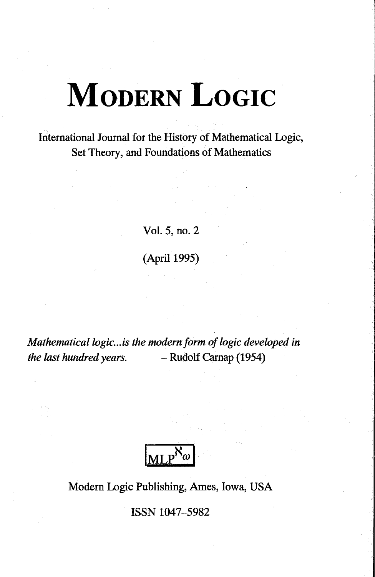# International Journal for the History of Mathematical Logic, Set Theory, and Foundations of Mathematics

Vol. 5, no. 2 (April 1995)

*Mathematical logic... is the modern form of logic developed in the last hundred years. -* Rudolf Carnap (1954)

Modem Logic Publishing, Ames, Iowa, USA

ISSN 1047-5982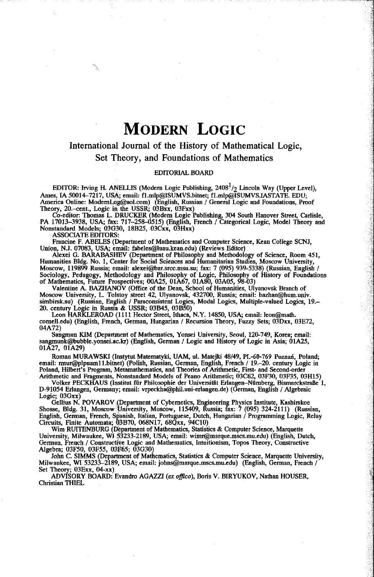## International Journal of the History of Mathematical Logic, Set Theory, and Foundations of Mathematics

#### EDITORIAL BOARD

EDITOR: Irving H. ANELLIS (Modem Logic Publishing, 2408\*/2 Lincoln Way (Upper Level), Ames, IA 50014-7217, USA; email: fl.mlp@ISUMVS.bitnet; f 1 .mIp@ISUMVS.IASTATE. EDU; America Online: ModernLog@aol.com) (English, Russian / General Logic and Foundations, Proof Theory, 2O.-cent., Logic in the USSR; ОЗВхх, ()3Fxx)

Co-editor: Thomas L. DRUCKER (Modern Logic Publishing, 304 South Hanover Street, Carlisle,<br>PA 17013–3938, USA; fax: 717–258–0515) (English, French / Categorical Logic, Model Theory and<br>Nonstandard Models; 03G30, 18B25, 03C

Francinc F. ABELES (Department of Mathematics and Computer Science, Kean College SCNJ,

Union, N.J. 07083, USA; email: fabeles@luau.kean.edu) (Reviews Editor)<br>Alexei G. BARABASHEV (Department of Philosophy and Methodology of Science, Room 451,<br>Humanities Bldg. No. 1, Center for Social Sciences and Humanitaria

Moscow University, L. Tolstoy street 42, Ulyanovsk, 432700, Russia; email: bazhan@hum.univ. simbirsk.su) (Russian, English / Paraconsistent Logics, Modal Logics, Multiple-valued Logics, 19. 20. century Logic in Russia & USSR; 03B45, 03R50) Leon HARKLEROAD (1111 Hector Street, Ithaca, N.Y. 14850, USA; email: leon@math.

comell.edu) (English, French, German, Hungarian / Recursion Theory, Fuzzy Sets; 03Dxx, 03E72, 04A72)

Sangmun KIM (Department of Mathematics, Yonsei University, Seoul, 120-749, Korea; email: sangmunk@bubble.yonsei.ac.kr) (English, German / Logic and History of Logic in Asia; 01A25, 01A27, 01A29)

Roman MURAWSKI (Instytut Matematyki, UAM, ul. Matejki 48/49, PL-60-769 Poznan, Poland; email: nnur@plpuam1 l.bitnet) (Polish, Russian, German, English, French / 19.-20. century Logic in Poland, Hilbert's Program, Metamathematics, and Theories of Arithmetic, First- and Second-order Arithmetic and Fragments, Nonstandard Models of Peano Arithmetic; 03C62, 03F30, 03F35, 03H15)

Volker PECKHAUS (Institut für Philosophie der Universität Erlangen-Nürnberg, Bismarckstraße 1, D-91054 Erlangen, Gemiany; email: vrpeckha@phil.uni-erlangen.de) (German, English / Algebraic Logic; 03Gxx)

Gellius N. POVAROV (Department of Cybernetics, Engineering Physics Institute, Kashirskoe<br>Shosse, Bldg. 31, Moscow University, Moscow, 115409, Russia; fax: 7 (095) 324-2111) (Russian,<br>English, German, French, Spanish, Itali

Wim RUITENBURG (Department of Mathematics, Statistics & Computer Science, Marquette University, Milwaukee, Wl 53233-2189, USA; email: wimr@marque.mscs.mu.edu) (English, Dutch, German, French / Constructive Logic and Mathematics, Intuitionism, Topos Theory, Constructive Algebra; 03F50, 03F55, 03F65; 03G30)

John С SIMMS (Department of Mathematics, Statistics & Computer Science, Marquette University, Milwaukee, WI 53233-2189, USA; email: johns@marque.mscs.mu.edu) (English, German, French / Set Theory; ОЗЕхх, 04-xx) ADVISORY BOARD: Evandro AGAZZI *(ex offlco),* Boris V. BIRYUKOV, Nathan HOUSER,

Christian THIEL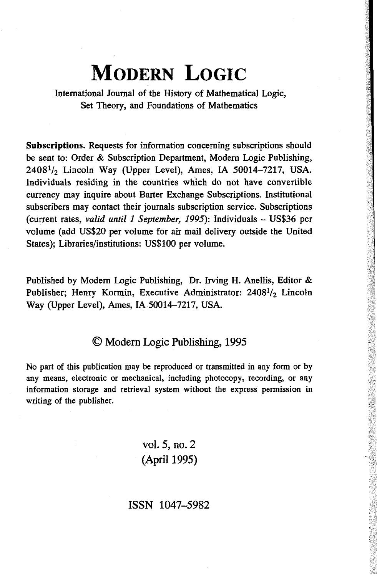International Journal of the History of Mathematical Logic, Set Theory, and Foundations of Mathematics

**Subscriptions.** Requests for information concerning subscriptions should be sent to: Order & Subscription Department, Modern Logic Publishing,  $2408<sup>1</sup>/<sub>2</sub>$  Lincoln Way (Upper Level), Ames, IA 50014-7217, USA. Individuals residing in the countries which do not have convertible currency may inquire about Barter Exchange Subscriptions. Institutional subscribers may contact their journals subscription service. Subscriptions (current rates, valid until 1 September, 1995): Individuals - US\$36 per volume (add US\$20 per volume for air mail delivery outside the United States); Libraries/institutions: US\$100 per volume.

Published by Modem Logic Publishing, Dr. Irving H. Anellis, Editor & Publisher; Henry Kormin, Executive Administrator: 2408<sup>1</sup>/2 Lincoln Way (Upper Level), Ames, IA 50014-7217, USA.

# © Modern Logic Publishing, 1995

No part of this publication may be reproduced or transmitted in any form or by any means, electronic or mechanical, including photocopy, recording, or any information storage and retrieval system without the express permission in writing of the publisher.

> vol. 5, no. 2 (April 1995)

ISSN 1047-5982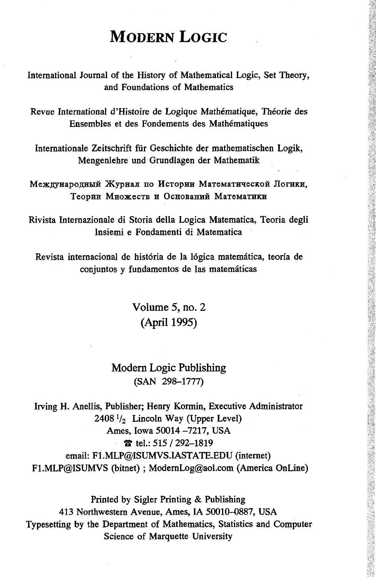International Journal of the History of Mathematical Logic, Set Theory, and Foundations of Mathematics

Revue International d'Histoire de Logique Mathématique, Théorie des Ensembles et des Fondements des Mathématiques

Internationale Zeitschrift für Geschichte der mathematischen Logik, Mengenlehre und Grundlagen der Mathematik

Международный Журнал по Истории Математической Логики, Теории Множеств и Оснований Математики

Rivista Internazionale di Storia della Logica Matematica, Teoria degli Insiemi e Fondamenti di Matematica

Revista internacional de história de la lógica matemática, teoría de conjuntos y fundamentos de las matemáticas

> Volume 5, no. 2 (April 1995)

# Modern Logic Publishing (SAN 298-1777)

Irving H. Anellis, Publisher; Henry Kormin, Executive Administrator  $2408\frac{1}{2}$  Lincoln Way (Upper Level) Ames, Iowa 50014 -7217, USA  $\frac{1}{6}$  tel.: 515 / 292-1819 email: F1.MLP@ISUMVS.IASTATE.EDU (internet) F1.MLP@ISUMVS (bitnet) ; ModernLog@aol.com (America OnLine)

Printed by Sigler Printing & Publishing 413 Northwestern Avenue, Ames, IA 50010-0887, USA Typesetting by the Department of Mathematics, Statistics and Computer Science of Marquette University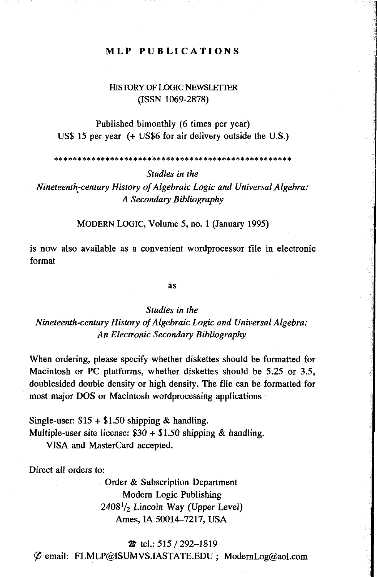#### **MLP PUBLICATIONS**

### HISTORY OF LOGIC NEWSLETTER (ISSN 1069-2878)

Published bimonthly (6 times per year) US\$ 15 per year (+ US\$6 for air delivery outside the U.S.)

*Studies in the*

*Nineteenth-century History of Algebraic Logic and Universal Algebra: A Secondary Bibliography*

MODERN LOGIC, Volume 5, no. 1 (January 1995)

is now also available as a convenient wordprocessor file in electronic format

as

## *Studies in the Nineteenth-century History of Algebraic Logic and Universal Algebra: An Electronic Secondary Bibliography*

When ordering, please specify whether diskettes should be formatted for Macintosh or PC platforms, whether diskettes should be 5.25 or 3.5, doublesided double density or high density. The file can be formatted for most major DOS or Macintosh wordprocessing applications

Single-user:  $$15 + $1.50$  shipping & handling. Multiple-user site license:  $$30 + $1.50$  shipping & handling. VISA and MasterCard accepted.

Direct all orders to:

Order & Subscription Department Modern Logic Publishing  $2408<sup>1</sup>$ /<sub>2</sub> Lincoln Way (Upper Level) Ames, IA 50014-7217, USA

& tel.: 515 / 292-1819

*Cf)* email: F1.MLP@ISUMVS.IASTATE.EDU ; ModernLog@aol.com